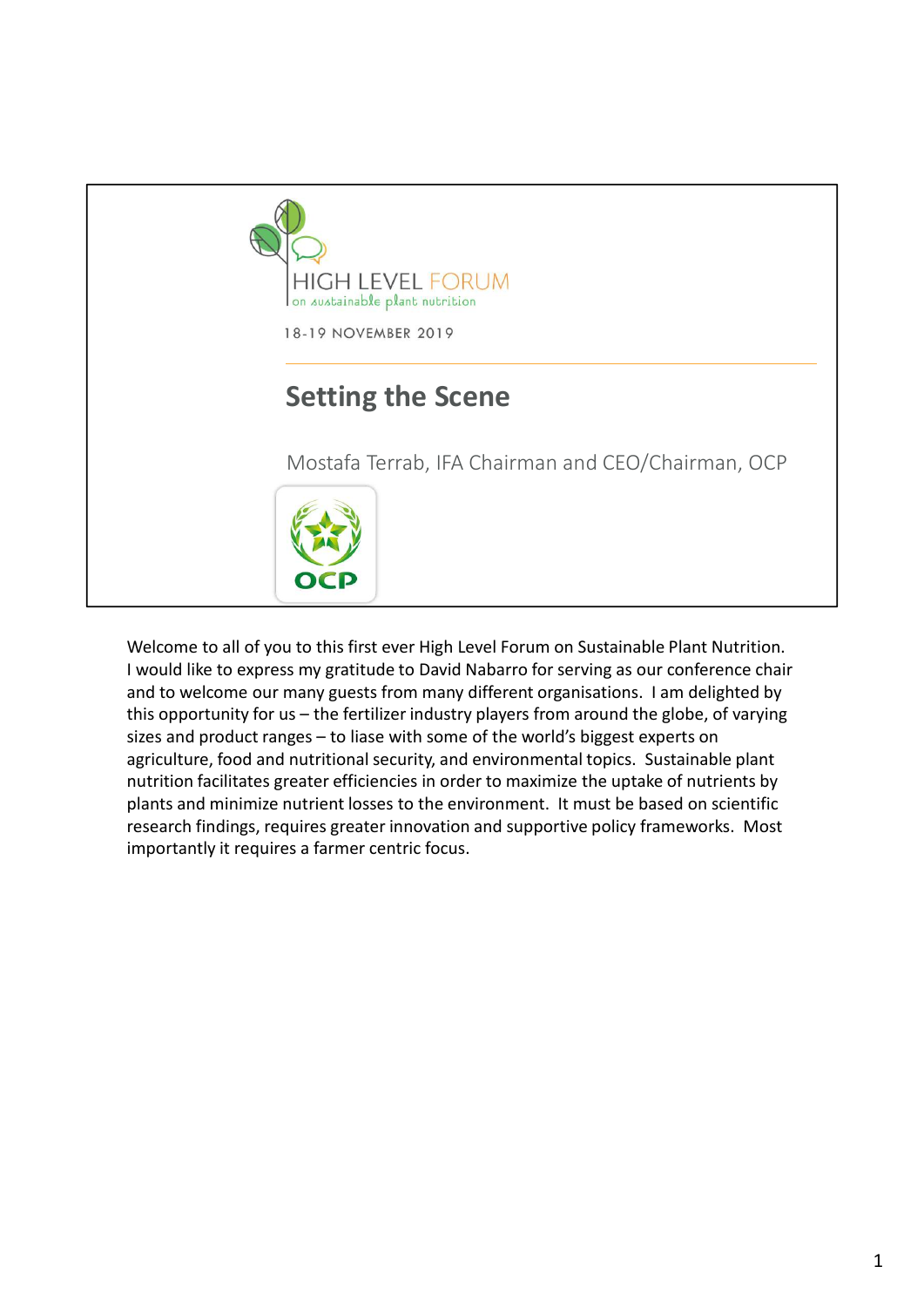

I would like to express my gratitude to David Nabarro for serving as our conference chair and to welcome our many guests from many different organisations. I am delighted by agriculture, food and nutritional security, and environmental topics. Sustainable plant nutrition facilitates greater efficiencies in order to maximize the uptake of nutrients by plants and minimize nutrient losses to the environment. It must be based on scientific research findings, requires greater innovation and supportive policy frameworks. Most importantly it requires a farmer centric focus.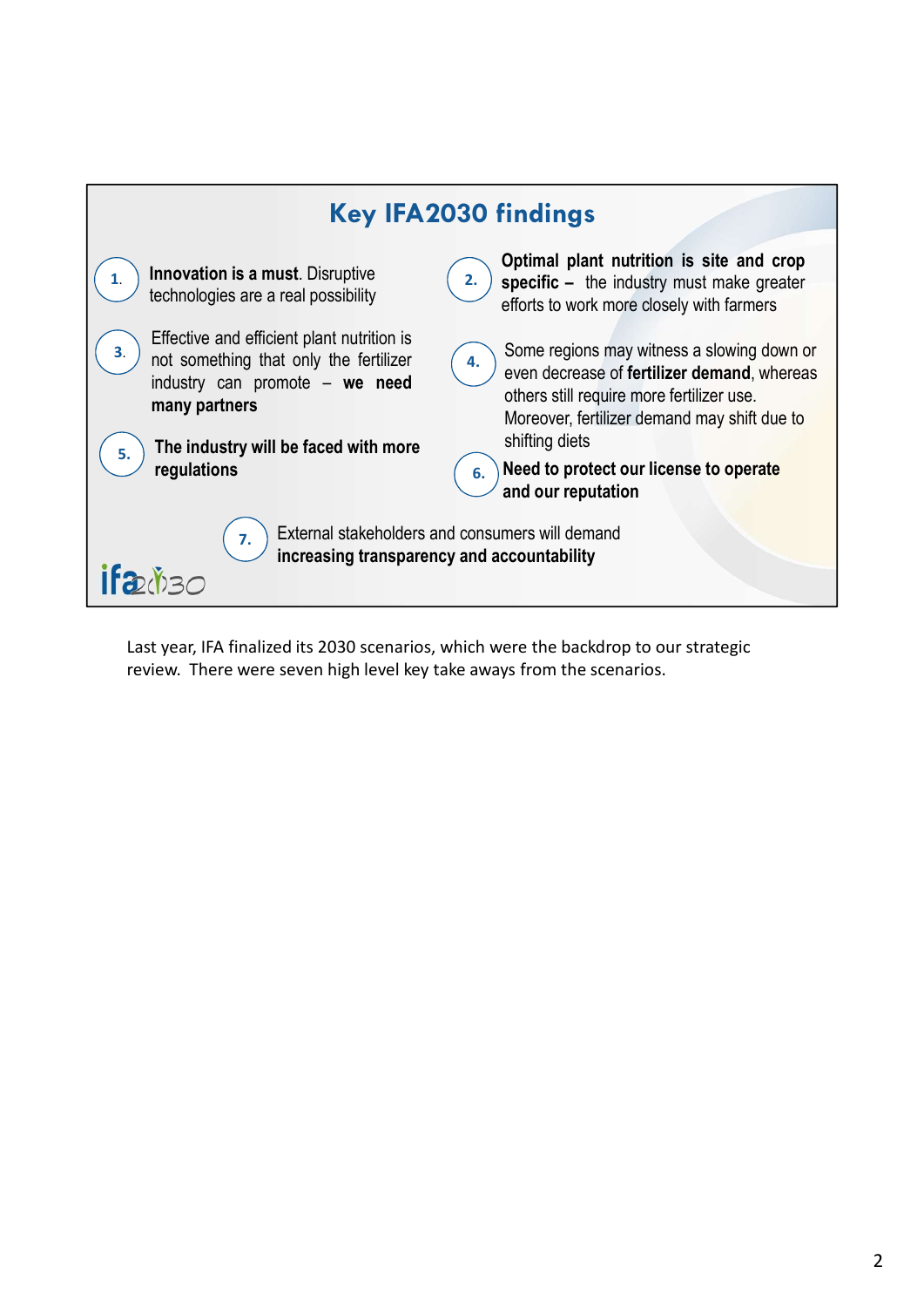

Last year, IFA finalized its 2030 scenarios, which were the backdrop to our strategic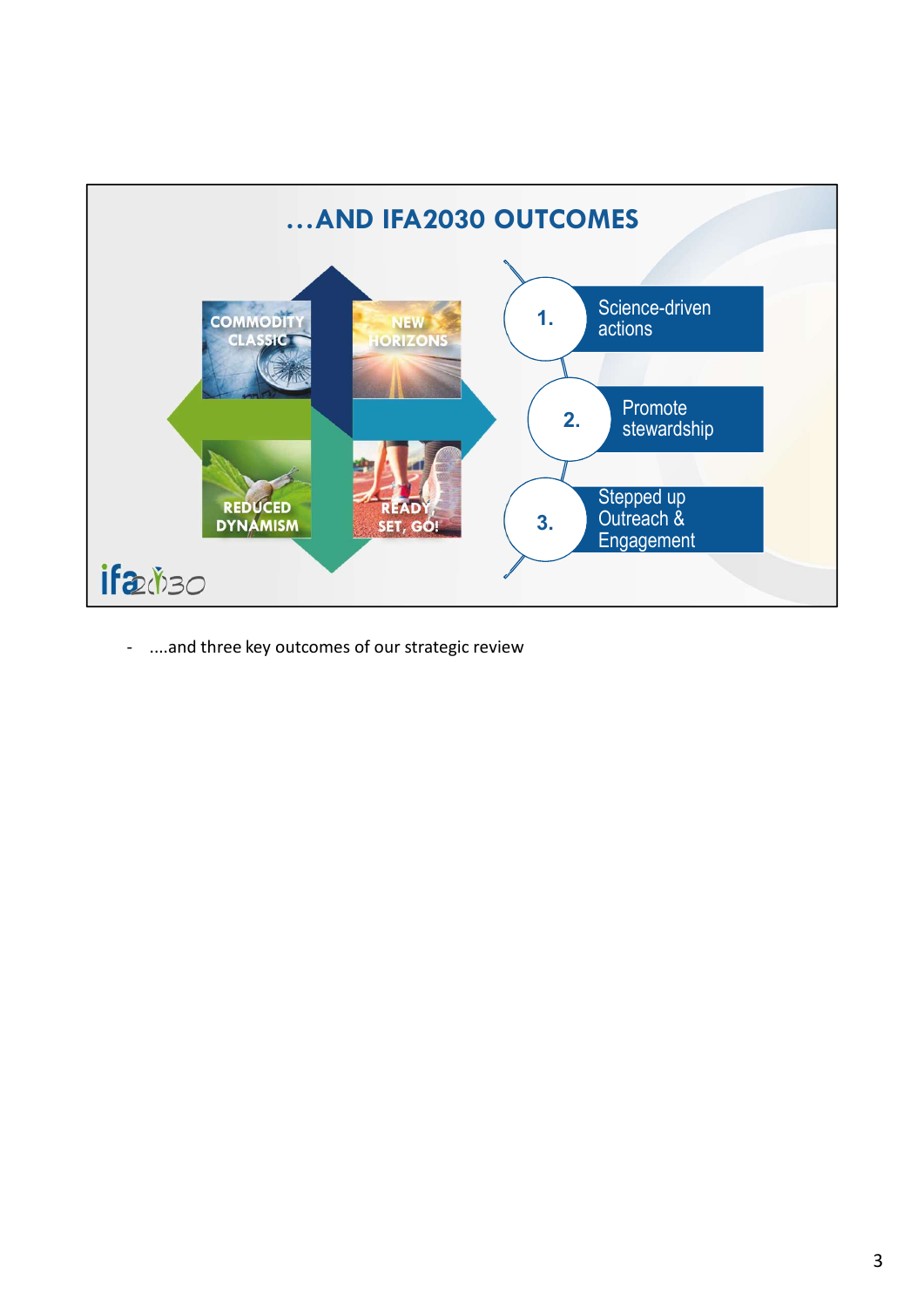

- ....and three key outcomes of our strategic review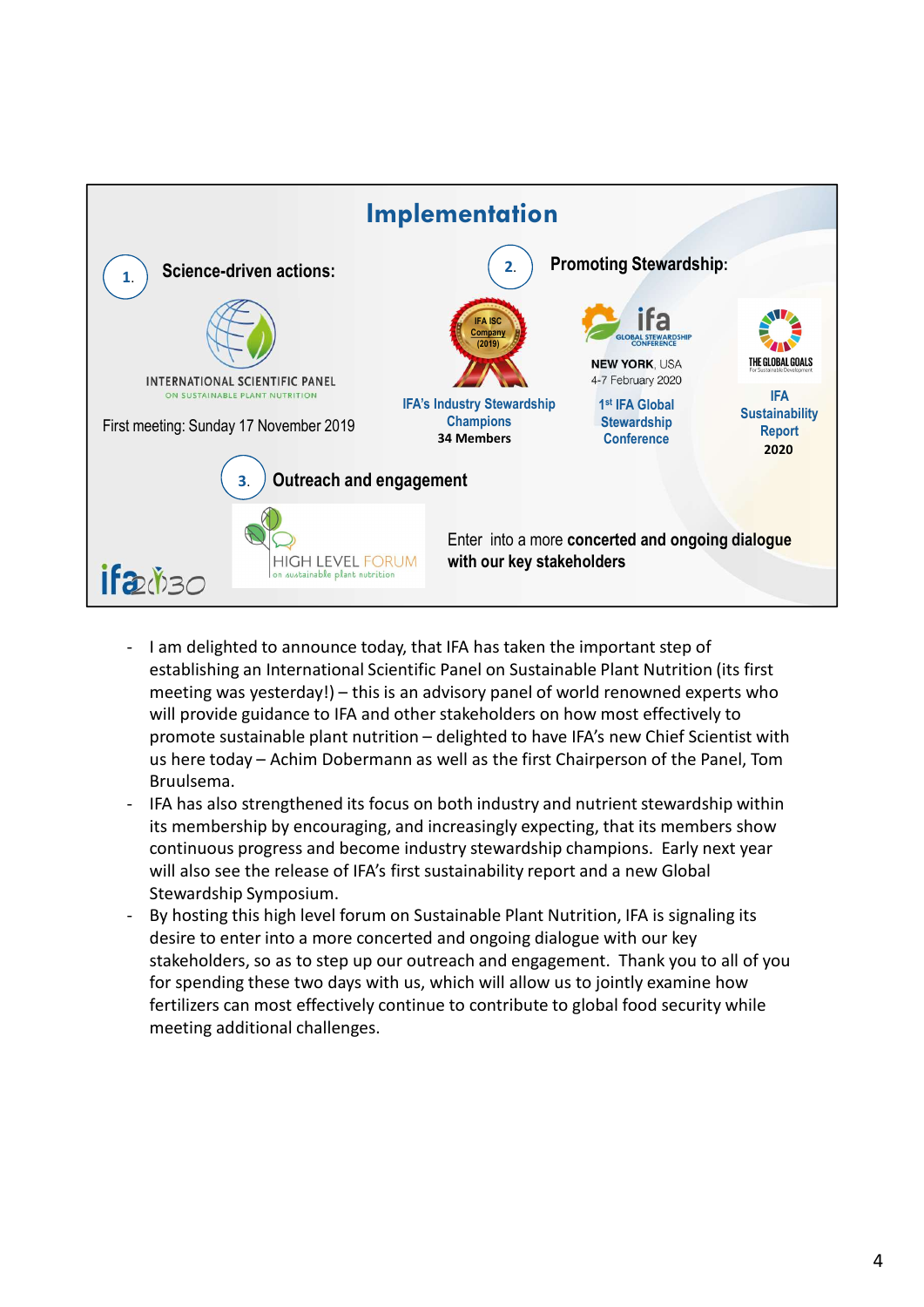

- establishing an International Scientific Panel on Sustainable Plant Nutrition (its first will provide guidance to IFA and other stakeholders on how most effectively to Bruulsema. Example 10.1 The most state of the state of the state of the state of the metric of the metric of the stabilishing an international Scientific Panel on Sustainable Plant Nutrition (its first meeting was yesterday!) – this
- its membership by encouraging, and increasingly expecting, that its members show continuous progress and become industry stewardship champions. Early next year will also see the release of IFA's first sustainability report and a new Global Stewardship Symposium.
- desire to enter into a more concerted and ongoing dialogue with our key stakeholders, so as to step up our outreach and engagement. Thank you to all of you for spending these two days with us, which will allow us to jointly examine how fertilizers can most effectively continue to contribute to global food security while meeting additional challenges.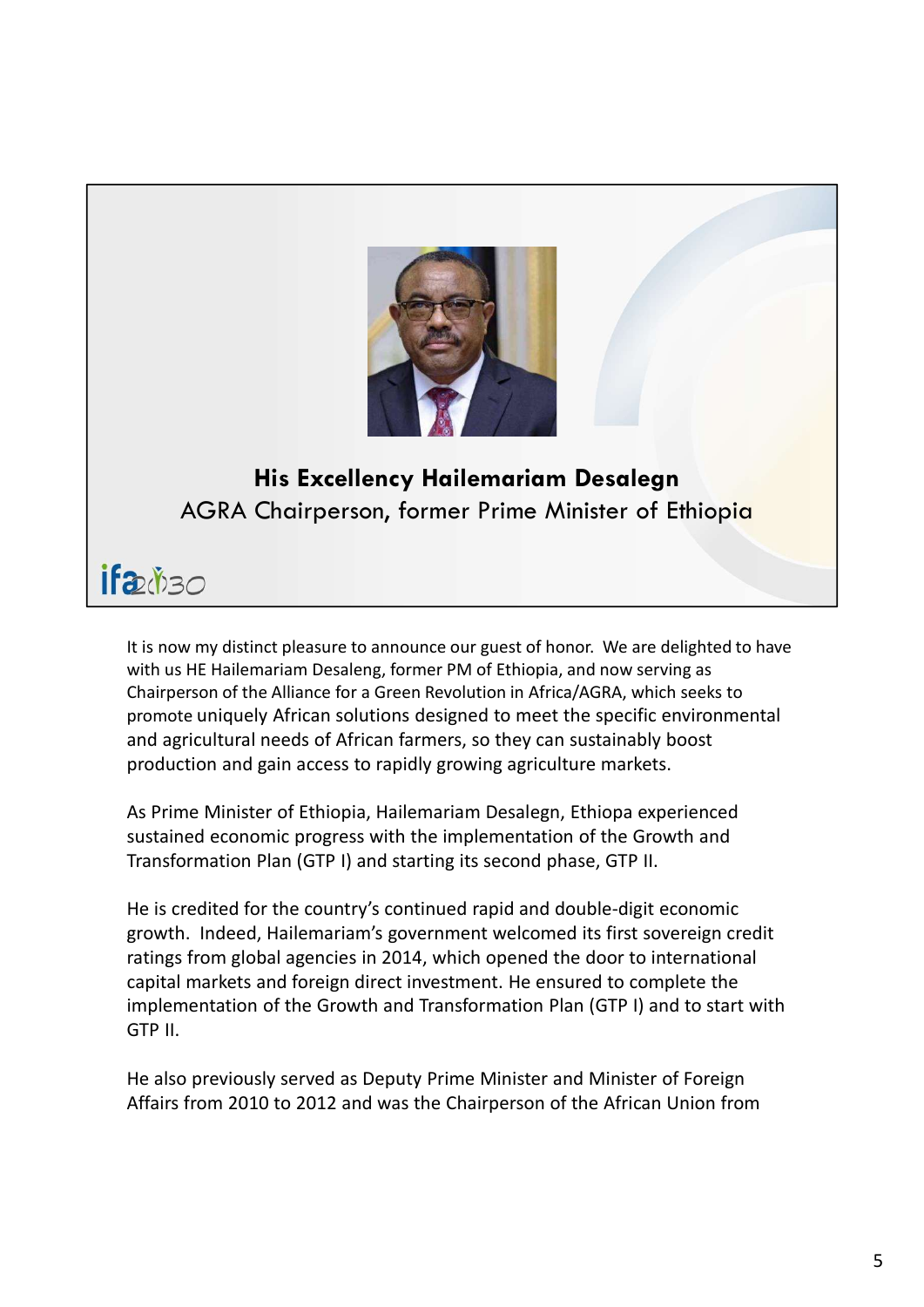

## His Excellency Hailemariam Desalegn AGRA Chairperson, former Prime Minister of Ethiopia

It is now my distinct pleasure to announce our guest of honor. We are delighted to have with us HE Hailemariam Desaleng, former PM of Ethiopia, and now serving as Chairperson of the Alliance for a Green Revolution in Africa/AGRA, which seeks to promote uniquely African solutions designed to meet the specific environmental and agricultural needs of African farmers, so they can sustainably boost production and gain access to rapidly growing agriculture markets. As Prime Minister of Ethiopia, Hailemariam Desalegn, Ethiopa experienced **His Excellency Hailemariam Desalegn**<br>AGRA Chairperson, former Prime Minister of Ethiopia<br> **ELV**<sup>Y</sup>) 30<br>
It is now my distinct pleasure to announce our guest of honor. We are delighted to have<br>
with us HE Hailemariam Desal

Transformation Plan (GTP I) and starting its second phase, GTP II.

He is credited for the country's continued rapid and double-digit economic **Example 1980**<br>The show my distinct pleasure to announce our guest of honor. We are delighted to have<br>with us HE Hailemariam Desaleng, former PM of Ethiopia, and now serving as<br>chairperson of the Alliance for a Green Revol **2: (***N*) 30<br>this now my distinct pleasure to announce our guest of honor. We are delighted to have<br>with us HE Hailemariam Desaleng, former PM of Ethiopia, and now serving as<br>chairperson of the Alliance for a Green Revol Example it is now my distinct pleasure to announce our guest of honor. We are delighted to have<br>with us HE Hailemariam Desaleng, former PM of Ethiopia, and now serving as<br>Chairperson of the Alliance for a Green Revolution implementation of the Growth and Transformation Plan (GTP I) and to start with GTP II.

He also previously served as Deputy Prime Minister and Minister of Foreign Affairs from 2010 to 2012 and was the Chairperson of the African Union from